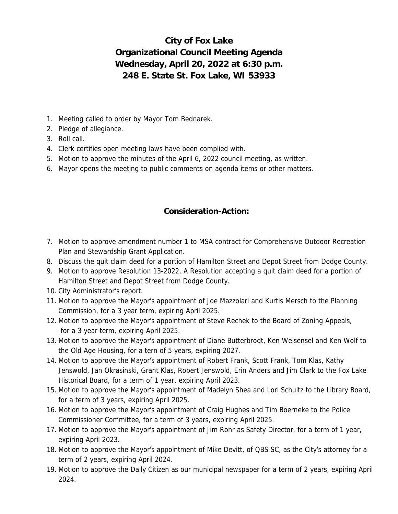## **City of Fox Lake Organizational Council Meeting Agenda Wednesday, April 20, 2022 at 6:30 p.m. 248 E. State St. Fox Lake, WI 53933**

- 1. Meeting called to order by Mayor Tom Bednarek.
- 2. Pledge of allegiance.
- 3. Roll call.
- 4. Clerk certifies open meeting laws have been complied with.
- 5. Motion to approve the minutes of the April 6, 2022 council meeting, as written.
- 6. Mayor opens the meeting to public comments on agenda items or other matters.

## **Consideration-Action:**

- 7. Motion to approve amendment number 1 to MSA contract for Comprehensive Outdoor Recreation Plan and Stewardship Grant Application.
- 8. Discuss the quit claim deed for a portion of Hamilton Street and Depot Street from Dodge County.
- 9. Motion to approve Resolution 13-2022, A Resolution accepting a quit claim deed for a portion of Hamilton Street and Depot Street from Dodge County.
- 10. City Administrator's report.
- 11. Motion to approve the Mayor's appointment of Joe Mazzolari and Kurtis Mersch to the Planning Commission, for a 3 year term, expiring April 2025.
- 12. Motion to approve the Mayor's appointment of Steve Rechek to the Board of Zoning Appeals, for a 3 year term, expiring April 2025.
- 13. Motion to approve the Mayor's appointment of Diane Butterbrodt, Ken Weisensel and Ken Wolf to the Old Age Housing, for a tern of 5 years, expiring 2027.
- 14. Motion to approve the Mayor's appointment of Robert Frank, Scott Frank, Tom Klas, Kathy Jenswold, Jan Okrasinski, Grant Klas, Robert Jenswold, Erin Anders and Jim Clark to the Fox Lake Historical Board, for a term of 1 year, expiring April 2023.
- 15. Motion to approve the Mayor's appointment of Madelyn Shea and Lori Schultz to the Library Board, for a term of 3 years, expiring April 2025.
- 16. Motion to approve the Mayor's appointment of Craig Hughes and Tim Boerneke to the Police Commissioner Committee, for a term of 3 years, expiring April 2025.
- 17. Motion to approve the Mayor's appointment of Jim Rohr as Safety Director, for a term of 1 year, expiring April 2023.
- 18. Motion to approve the Mayor's appointment of Mike Devitt, of QBS SC, as the City's attorney for a term of 2 years, expiring April 2024.
- 19. Motion to approve the Daily Citizen as our municipal newspaper for a term of 2 years, expiring April 2024.